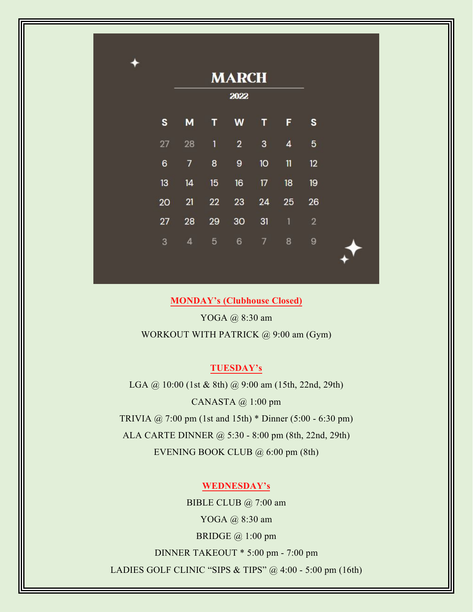|    | <b>MARCH</b>   |                         |                |                 |                |                |  |
|----|----------------|-------------------------|----------------|-----------------|----------------|----------------|--|
|    | 2022           |                         |                |                 |                |                |  |
| S  | M              | T                       | W              | T               | F              | S              |  |
| 27 | 28             | $\overline{\mathbf{1}}$ | $\overline{2}$ | $\mathbf{3}$    | $\overline{4}$ | 5              |  |
| 6  | $\overline{7}$ | 8                       | 9              | 10 <sup>°</sup> | $\mathbf{11}$  | 12             |  |
| 13 | 14             | 15                      | 16             | 17              | 18             | 19             |  |
| 20 | 21             | 22                      | 23             | 24              | 25             | 26             |  |
| 27 | 28             | 29                      | 30             | 31              | $\mathbf{1}$   | $\overline{2}$ |  |
| 3  | 4              | 5                       | 6              | $\overline{7}$  | 8              | $\overline{9}$ |  |

**MONDAY's (Clubhouse Closed)**

YOGA @ 8:30 am

WORKOUT WITH PATRICK @ 9:00 am (Gym)

## **TUESDAY's**

LGA @ 10:00 (1st & 8th) @ 9:00 am (15th, 22nd, 29th) CANASTA @ 1:00 pm TRIVIA @ 7:00 pm (1st and 15th) \* Dinner (5:00 - 6:30 pm) ALA CARTE DINNER @ 5:30 - 8:00 pm (8th, 22nd, 29th) EVENING BOOK CLUB @ 6:00 pm (8th)

### **WEDNESDAY's**

BIBLE CLUB @ 7:00 am YOGA @ 8:30 am BRIDGE @ 1:00 pm DINNER TAKEOUT \* 5:00 pm - 7:00 pm LADIES GOLF CLINIC "SIPS & TIPS" @ 4:00 - 5:00 pm (16th)